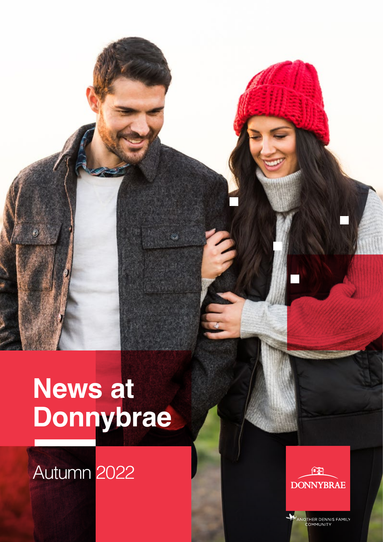# **News at Donnybrae**

## Autumn 2022

 $\mathcal O$ 

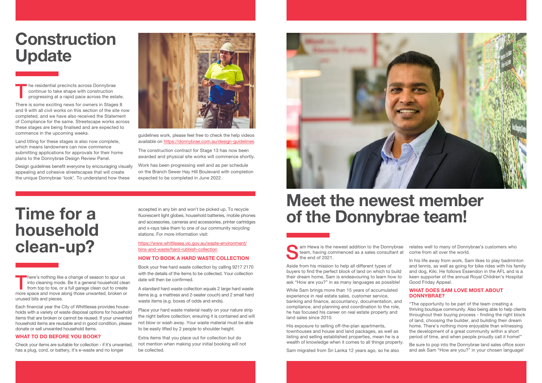The residential precincts across Donnybrae<br>
continue to take shape with construction<br>
progressing at a rapid pace across the estate. continue to take shape with construction

There is some exciting news for owners in Stages 8 and 9 with all civil works on this section of the site now completed, and we have also received the Statement of Compliance for the same. Streetscape works across these stages are being finalised and are expected to commence in the upcoming weeks.

Land titling for these stages is also now complete, which means landowners can now commence submitting applications for approvals for their home plans to the Donnybrae Design Review Panel.

Design guidelines benefit everyone by encouraging visually appealing and cohesive streetscapes that will create the unique Donnybrae 'look'. To understand how these



guidelines work, please feel free to check the help videos available on [https://donnybrae.com.au/design-guidelines.](https://donnybrae.com.au/design-guidelines)

The construction contract for Stage 13 has now been awarded and physical site works will commence shortly.

> Sam Hewa is the newest addition to the Donnybrae<br>team, having commenced as a sales consultant at<br>the end of 2021. team, having commenced as a sales consultant at the end of 2021. relates well to many of Donnybrae's customers who come from all over the world.

Work has been progressing well and as per schedule on the Branch Sewer Hay Hill Boulevard with completion expected to be completed in June 2022.

> Aside from his mission to help all different types of buyers to find the perfect block of land on which to build their dream home, Sam is endeavouring to learn how to ask "How are you?" in as many languages as possible!

There's nothing like a change of season to spur us<br>
into cleaning mode. Be it a general household clear<br>
from top to toe, or a full garage clean out to create into cleaning mode. Be it a general household clean more space and move along those unwanted, broken or unused bits and pieces.

While Sam brings more than 15 years of accumulated experience in real estate sales, customer service, banking and finance, accountancy, documentation, and compliance, and planning and coordination to the role, he has focused his career on real estate property and land sales since 2010.

Check your items are suitable for collection - if it's unwanted, has a plug, cord, or battery, it's e-waste and no longer

His exposure to selling off-the-plan apartments, townhouses and house and land packages, as well as listing and selling established properties, mean he is a wealth of knowledge when it comes to all things property.

Sam migrated from Sri Lanka 12 years ago, so he also

In his life away from work, Sam likes to play badminton and tennis, as well as going for bike rides with his family and dog, Kiki. He follows Essendon in the AFL and is a keen supporter of the annual Royal Children's Hospital Good Friday Appeal.

### **WHAT DOES SAM LOVE MOST ABOUT DONNYBRAE?**

"The opportunity to be part of the team creating a thriving boutique community. Also being able to help clients throughout their buying process - finding the right block of land, choosing the builder, and building their dream home. There's nothing more enjoyable than witnessing the development of a great community within a short period of time, and when people proudly call it home!"

Be sure to pop into the Donnybrae land sales office soon and ask Sam "How are you?" in your chosen language!

## Construction Update

## Meet the newest member of the Donnybrae team!

Each financial year the City of Whittlesea provides households with a variety of waste disposal options for household items that are broken or cannot be reused. If your unwanted household items are reusable and in good condition, please donate or sell unwanted household items.

### **WHAT TO DO BEFORE YOU BOOK?**

accepted in any bin and won't be picked up. To recycle fluorescent light globes, household batteries, mobile phones and accessories, cameras and accessories, printer cartridges and x-rays take them to one of our community recycling stations. For more information visit:

https://www.whittlesea.vic.gov.au/waste-environment/ bins-and-waste/hard-rubbish-collection

### **HOW TO BOOK A HARD WASTE COLLECTION**

Book your free hard waste collection by calling 9217 2170 with the details of the items to be collected. Your collection date will then be confirmed.

A standard hard waste collection equals 2 large hard waste items (e.g. a mattress and 2-seater couch) and 2 small hard waste items (e.g. boxes of odds and ends).

Place your hard waste material neatly on your nature strip the night before collection, ensuring it is contained and will not blow or wash away. Your waste material must be able to be easily lifted by 2 people to shoulder height.

Extra items that you place out for collection but do not mention when making your initial booking will not be collected.



## Time for a household clean-up?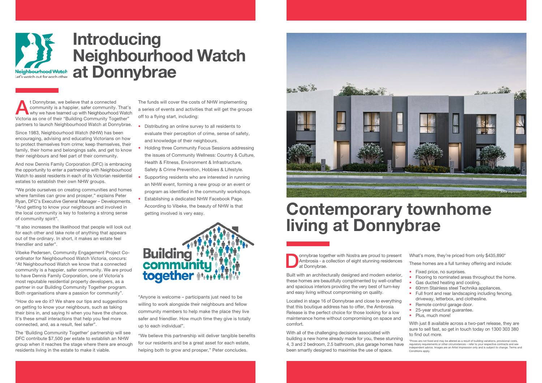<sup>t</sup> Donnybrae, we believe that a connected<br>
community is a happier, safer community. That's<br>
why we have teamed up with Neighbourhood Watch<br>
Wistayie as an<br>
of their "Building Community" Teachbour" community is a happier, safer community. That's Victoria as one of their "Building Community Together" partners to launch Neighbourhood Watch at Donnybrae.

Since 1983, Neighbourhood Watch (NHW) has been encouraging, advising and educating Victorians on how to protect themselves from crime; keep themselves, their family, their home and belongings safe, and get to know their neighbours and feel part of their community.

And now Dennis Family Corporation (DFC) is embracing the opportunity to enter a partnership with Neighbourhood Watch to assist residents in each of its Victorian residential estates to establish their own NHW groups.

"We pride ourselves on creating communities and homes where families can grow and prosper," explains Peter Ryan, DFC's Executive General Manager – Developments. "And getting to know your neighbours and involved in the local community is key to fostering a strong sense of community spirit".

"It also increases the likelihood that people will look out for each other and take note of anything that appears out of the ordinary. In short, it makes an estate feel friendlier and safer".

Vibeke Pedersen, Community Engagement Project Coordinator for Neighbourhood Watch Victoria, concurs: "At Neighbourhood Watch we know that a connected community is a happier, safer community. We are proud to have Dennis Family Corporation, one of Victoria's most reputable residential property developers, as a partner in our Building Community Together program. Both organisations share a passion for community".

Oonnybrae together with Nostra are proud to present<br>Ambrosia - a collection of eight stunning residences<br>at Donnybrae. Ambrosia - a collection of eight stunning residences at Donnybrae.

"How do we do it? We share our tips and suggestions on getting to know your neighbours, such as taking their bins in, and saying hi when you have the chance. It's these small interactions that help you feel more connected, and, as a result, feel safer".

The 'Building Community Together' partnership will see DFC contribute \$7,500 per estate to establish an NHW group when it reaches the stage where there are enough residents living in the estate to make it viable.

The funds will cover the costs of NHW implementing a series of events and activities that will get the groups off to a flying start, including:

- Distributing an online survey to all residents to evaluate their perception of crime, sense of safety, and knowledge of their neighbours.
- Holding three Community Focus Sessions addressing the issues of Community Wellness: Country & Culture, Health & Fitness, Environment & Infrastructure, Safety & Crime Prevention, Hobbies & Lifestyle.
- Supporting residents who are interested in running an NHW event, forming a new group or an event or program as identified in the community workshops.
- Establishing a dedicated NHW Facebook Page. According to Vibeke, the beauty of NHW is that getting involved is very easy.



"Anyone is welcome – participants just need to be willing to work alongside their neighbours and fellow community members to help make the place they live safer and friendlier. How much time they give is totally up to each individual".

"We believe this partnership will deliver tangible benefits for our residents and be a great asset for each estate, helping both to grow and prosper," Peter concludes.



## Introducing Neighbourhood Watch at Donnybrae

## Contemporary townhome living at Donnybrae

Built with an architecturally designed and modern exterior, these homes are beautifully complimented by well-crafted and spacious interiors providing the very best of turn-key and easy living without compromising on quality.

Located in stage 16 of Donnybrae and close to everything that this boutique address has to offer, the Ambrosia Release is the perfect choice for those looking for a low maintenance home without compromising on space and comfort.

With all of the challenging decisions associated with building a new home already made for you, these stunning 4, 3 and 2 bedroom, 2.5 bathroom, plus garage homes have been smartly designed to maximise the use of space.

What's more, they're priced from only \$435,890\*

These homes are a full turnkey offering and include:

- Fixed price, no surprises.
- Flooring to nominated areas throughout the home.
- Gas ducted heating and cooling.
- 60mm Stainless steel Technika appliances.
- Full front and rear landscaping including fencing, driveway, letterbox, and clothesline.
- Remote control garage door.
- 25-year structural quarantee.
- Plus, much more!

With just 8 available across a two-part release, they are sure to sell fast, so get in touch today on 1300 303 380 to find out more.

\*Prices are not fixed and may be altered as a result of building variations, provisional costs, regulatory requirements or other circumstances – refer to your respective contracts and see independent advice. Images are an Artist Impression only and is subject to change. Terms and Conditions apply.

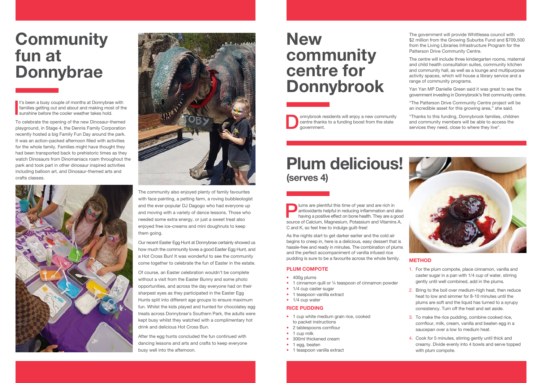The community also enjoyed plenty of family favourites with face painting, a petting farm, a roving bubbleologist and the ever-popular DJ Dagogo who had everyone up and moving with a variety of dance lessons. Those who needed some extra energy, or just a sweet treat also enjoyed free ice-creams and mini doughnuts to keep them going.

To celebrate the opening of the new Dinosaur-themed playground, in Stage 4, the Dennis Family Corporation recently hosted a big Family Fun Day around the park. It was an action-packed afternoon filled with activities for the whole family. Families might have thought they had been transported back to prehistoric times as they watch Dinosaurs from Dinomaniacs roam throughout the park and took part in other dinosaur inspired activities including balloon art, and Dinosaur-themed arts and crafts classes.





## **Community** fun at Donnybrae

I t's been a busy couple of months at Donnybrae with families getting out and about and making most of the sunshine before the cooler weather takes hold.

onnybrook residents will enjoy a new community<br>centre thanks to a funding boost from the state<br>government. centre thanks to a funding boost from the state government.

Our recent Easter Egg Hunt at Donnybrae certainly showed us how much the community loves a good Easter Egg Hunt, and a Hot Cross Bun! It was wonderful to see the community come together to celebrate the fun of Easter in the estate.

## **New** community centre for Donnybrook

Of course, an Easter celebration wouldn't be complete without a visit from the Easter Bunny and some photo opportunities, and across the day everyone had on their sharpest eyes as they participated in the Easter Egg Hunts split into different age groups to ensure maximum fun. Whilst the kids played and hunted for chocolatey egg treats across Donnybrae's Southern Park, the adults were kept busy whilst they watched with a complimentary hot drink and delicious Hot Cross Bun.

**Plums are plentiful this time of year and are rich in**<br>
having a positive effect on bone health. They are a good<br> **Alternative Memorium Patersium and Vitarias** antioxidants helpful in reducing inflammation and also source of Calcium, Magnesium, Potassium and Vitamins A, C and K, so feel free to indulge guilt-free!

- 400g plums
- 1 cinnamon quill or 1/4 teaspoon of cinnamon powder
- 1/4 cup caster sugar
- 1 teaspoon vanilla extract
- 1/4 cup water

After the egg hunts concluded the fun continued with dancing lessons and arts and crafts to keep everyone busy well into the afternoon.

- 1 cup white medium grain rice, cooked to packet instructions
- 2 tablespoons cornflour
- 1 cup milk
- 300ml thickened cream
- 1 egg, beaten
- 1 teaspoon vanilla extract

The government will provide Whittlesea council with \$2 million from the Growing Suburbs Fund and \$709,500 from the Living Libraries Infrastructure Program for the Patterson Drive Community Centre.

### Plum delicious! T (serves 4)

The centre will include three kindergarten rooms, maternal and child health consultation suites, community kitchen and community hall, as well as a lounge and multipurpose activity spaces, which will house a library service and a range of community programs.

Yan Yan MP Danielle Green said it was great to see the government investing in Donnybrook's first community centre.

"The Patterson Drive Community Centre project will be an incredible asset for this growing area," she said.

"Thanks to this funding, Donnybrook families, children and community members will be able to access the services they need, close to where they live".



As the nights start to get darker earlier and the cold air begins to creep in, here is a delicious, easy dessert that is hassle-free and ready in minutes. The combination of plums and the perfect accompaniment of vanilla infused rice pudding is sure to be a favourite across the whole family.

### **PLUM COMPOTE**

### **RICE PUDDING**

### **METHOD**

- 1. For the plum compote, place cinnamon, vanilla and caster sugar in a pan with 1/4 cup of water, stirring gently until well combined, add in the plums.
- 2. Bring to the boil over medium-high heat, then reduce heat to low and simmer for 8-10 minutes until the plums are soft and the liquid has turned to a syrupy consistency. Turn off the heat and set aside.
- 3. To make the rice pudding, combine cooked rice, cornflour, milk, cream, vanilla and beaten egg in a saucepan over a low to medium heat.
- 4. Cook for 5 minutes, stirring gently until thick and creamy. Divide evenly into 4 bowls and serve topped with plum compote.